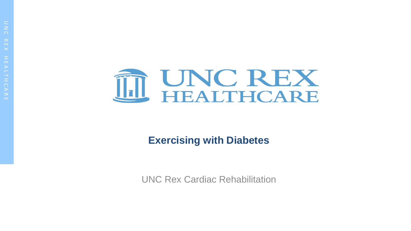

#### **Exercising with Diabetes**

UNC Rex Cardiac Rehabilitation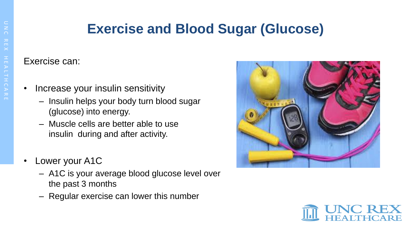### **Exercise and Blood Sugar (Glucose)**

Exercise can:

- Increase your insulin sensitivity
	- Insulin helps your body turn blood sugar (glucose) into energy.
	- Muscle cells are better able to use insulin during and after activity.
- Lower your A1C
	- A1C is your average blood glucose level over the past 3 months
	- Regular exercise can lower this number



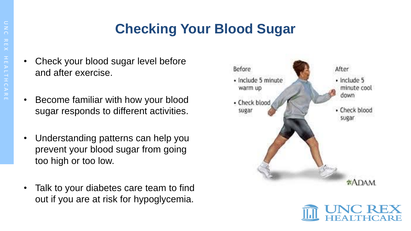# **Checking Your Blood Sugar**

- Check your blood sugar level before and after exercise.
- Become familiar with how your blood sugar responds to different activities.
- Understanding patterns can help you prevent your blood sugar from going too high or too low.
- Talk to your diabetes care team to find out if you are at risk for hypoglycemia.



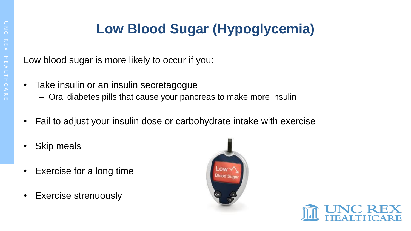# **Low Blood Sugar (Hypoglycemia)**

Low blood sugar is more likely to occur if you:

- Take insulin or an insulin secretagogue
	- Oral diabetes pills that cause your pancreas to make more insulin
- Fail to adjust your insulin dose or carbohydrate intake with exercise
- Skip meals
- Exercise for a long time
- Exercise strenuously



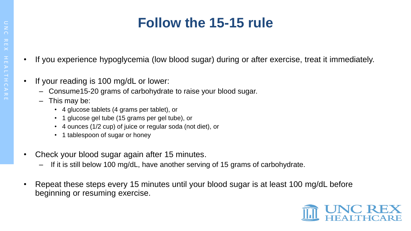## **Follow the 15-15 rule**

- If you experience hypoglycemia (low blood sugar) during or after exercise, treat it immediately.
- If your reading is 100 mg/dL or lower:
	- Consume15-20 grams of carbohydrate to raise your blood sugar.
	- This may be:
		- 4 glucose tablets (4 grams per tablet), or
		- 1 glucose gel tube (15 grams per gel tube), or
		- 4 ounces (1/2 cup) of juice or regular soda (not diet), or
		- 1 tablespoon of sugar or honey
- Check your blood sugar again after 15 minutes.
	- If it is still below 100 mg/dL, have another serving of 15 grams of carbohydrate.
- Repeat these steps every 15 minutes until your blood sugar is at least 100 mg/dL before beginning or resuming exercise.